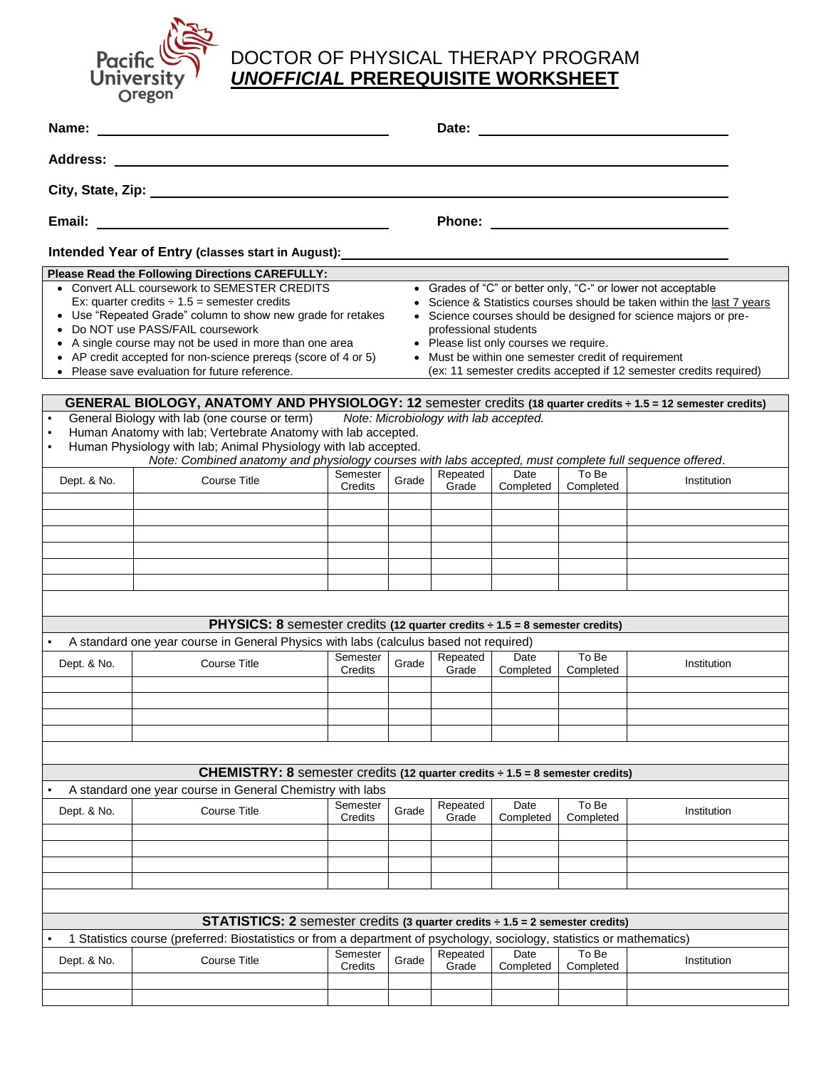

## Pacific DOCTOR OF PHYSICAL THERAPY PROGRAM<br>University UNOFFICIAL PREREQUISITE WORKSHEET *UNOFFICIAL* **PREREQUISITE WORKSHEET**

| Name:                                                                                                                                                                                                                      |                                                                                         | Date:    |       |          |           |           |             |  |  |  |  |  |
|----------------------------------------------------------------------------------------------------------------------------------------------------------------------------------------------------------------------------|-----------------------------------------------------------------------------------------|----------|-------|----------|-----------|-----------|-------------|--|--|--|--|--|
| <b>Address:</b>                                                                                                                                                                                                            |                                                                                         |          |       |          |           |           |             |  |  |  |  |  |
|                                                                                                                                                                                                                            |                                                                                         |          |       |          |           |           |             |  |  |  |  |  |
|                                                                                                                                                                                                                            |                                                                                         |          |       |          |           |           |             |  |  |  |  |  |
| Intended Year of Entry (classes start in August):                                                                                                                                                                          |                                                                                         |          |       |          |           |           |             |  |  |  |  |  |
| Please Read the Following Directions CAREFULLY:                                                                                                                                                                            |                                                                                         |          |       |          |           |           |             |  |  |  |  |  |
| • Convert ALL coursework to SEMESTER CREDITS<br>• Grades of "C" or better only, "C-" or lower not acceptable                                                                                                               |                                                                                         |          |       |          |           |           |             |  |  |  |  |  |
| Ex: quarter credits $\div$ 1.5 = semester credits<br>• Science & Statistics courses should be taken within the last 7 years                                                                                                |                                                                                         |          |       |          |           |           |             |  |  |  |  |  |
| • Use "Repeated Grade" column to show new grade for retakes<br>• Science courses should be designed for science majors or pre-                                                                                             |                                                                                         |          |       |          |           |           |             |  |  |  |  |  |
| • Do NOT use PASS/FAIL coursework<br>professional students                                                                                                                                                                 |                                                                                         |          |       |          |           |           |             |  |  |  |  |  |
| • Please list only courses we require.<br>• A single course may not be used in more than one area<br>• AP credit accepted for non-science prereqs (score of 4 or 5)<br>• Must be within one semester credit of requirement |                                                                                         |          |       |          |           |           |             |  |  |  |  |  |
| (ex: 11 semester credits accepted if 12 semester credits required)<br>• Please save evaluation for future reference.                                                                                                       |                                                                                         |          |       |          |           |           |             |  |  |  |  |  |
|                                                                                                                                                                                                                            |                                                                                         |          |       |          |           |           |             |  |  |  |  |  |
| GENERAL BIOLOGY, ANATOMY AND PHYSIOLOGY: 12 semester credits (18 quarter credits ÷ 1.5 = 12 semester credits)                                                                                                              |                                                                                         |          |       |          |           |           |             |  |  |  |  |  |
| General Biology with lab (one course or term) Note: Microbiology with lab accepted.                                                                                                                                        |                                                                                         |          |       |          |           |           |             |  |  |  |  |  |
| Human Anatomy with lab; Vertebrate Anatomy with lab accepted.<br>٠                                                                                                                                                         |                                                                                         |          |       |          |           |           |             |  |  |  |  |  |
| Human Physiology with lab; Animal Physiology with lab accepted.<br>Note: Combined anatomy and physiology courses with labs accepted, must complete full sequence offered.                                                  |                                                                                         |          |       |          |           |           |             |  |  |  |  |  |
|                                                                                                                                                                                                                            |                                                                                         | Semester |       | Repeated | Date      | To Be     |             |  |  |  |  |  |
| Dept. & No.                                                                                                                                                                                                                | Course Title                                                                            | Credits  | Grade | Grade    | Completed | Completed | Institution |  |  |  |  |  |
|                                                                                                                                                                                                                            |                                                                                         |          |       |          |           |           |             |  |  |  |  |  |
|                                                                                                                                                                                                                            |                                                                                         |          |       |          |           |           |             |  |  |  |  |  |
|                                                                                                                                                                                                                            |                                                                                         |          |       |          |           |           |             |  |  |  |  |  |
|                                                                                                                                                                                                                            |                                                                                         |          |       |          |           |           |             |  |  |  |  |  |
|                                                                                                                                                                                                                            |                                                                                         |          |       |          |           |           |             |  |  |  |  |  |
|                                                                                                                                                                                                                            |                                                                                         |          |       |          |           |           |             |  |  |  |  |  |
|                                                                                                                                                                                                                            |                                                                                         |          |       |          |           |           |             |  |  |  |  |  |
|                                                                                                                                                                                                                            | <b>PHYSICS:</b> 8 semester credits (12 quarter credits $\div$ 1.5 = 8 semester credits) |          |       |          |           |           |             |  |  |  |  |  |
|                                                                                                                                                                                                                            | A standard one year course in General Physics with labs (calculus based not required)   |          |       |          |           |           |             |  |  |  |  |  |
|                                                                                                                                                                                                                            |                                                                                         | Semester |       | Repeated | Date      | To Be     |             |  |  |  |  |  |
| Dept. & No.                                                                                                                                                                                                                | <b>Course Title</b>                                                                     | Credits  | Grade | Grade    | Completed | Completed | Institution |  |  |  |  |  |
|                                                                                                                                                                                                                            |                                                                                         |          |       |          |           |           |             |  |  |  |  |  |
|                                                                                                                                                                                                                            |                                                                                         |          |       |          |           |           |             |  |  |  |  |  |
|                                                                                                                                                                                                                            |                                                                                         |          |       |          |           |           |             |  |  |  |  |  |
|                                                                                                                                                                                                                            |                                                                                         |          |       |          |           |           |             |  |  |  |  |  |
|                                                                                                                                                                                                                            |                                                                                         |          |       |          |           |           |             |  |  |  |  |  |
|                                                                                                                                                                                                                            | CHEMISTRY: 8 semester credits (12 quarter credits ÷ 1.5 = 8 semester credits)           |          |       |          |           |           |             |  |  |  |  |  |
|                                                                                                                                                                                                                            | A standard one year course in General Chemistry with labs                               |          |       |          |           |           |             |  |  |  |  |  |
|                                                                                                                                                                                                                            | <b>Course Title</b>                                                                     | Semester | Grade | Repeated | Date      | To Be     | Institution |  |  |  |  |  |
| Dept. & No.                                                                                                                                                                                                                |                                                                                         | Credits  |       | Grade    | Completed | Completed |             |  |  |  |  |  |
|                                                                                                                                                                                                                            |                                                                                         |          |       |          |           |           |             |  |  |  |  |  |
|                                                                                                                                                                                                                            |                                                                                         |          |       |          |           |           |             |  |  |  |  |  |
|                                                                                                                                                                                                                            |                                                                                         |          |       |          |           |           |             |  |  |  |  |  |
|                                                                                                                                                                                                                            |                                                                                         |          |       |          |           |           |             |  |  |  |  |  |
|                                                                                                                                                                                                                            |                                                                                         |          |       |          |           |           |             |  |  |  |  |  |
| <b>STATISTICS:</b> 2 semester credits (3 quarter credits $\div$ 1.5 = 2 semester credits)                                                                                                                                  |                                                                                         |          |       |          |           |           |             |  |  |  |  |  |
| 1 Statistics course (preferred: Biostatistics or from a department of psychology, sociology, statistics or mathematics)                                                                                                    |                                                                                         |          |       |          |           |           |             |  |  |  |  |  |
| Dept. & No.                                                                                                                                                                                                                | <b>Course Title</b>                                                                     | Semester | Grade | Repeated | Date      | To Be     | Institution |  |  |  |  |  |
|                                                                                                                                                                                                                            |                                                                                         | Credits  |       | Grade    | Completed | Completed |             |  |  |  |  |  |
|                                                                                                                                                                                                                            |                                                                                         |          |       |          |           |           |             |  |  |  |  |  |